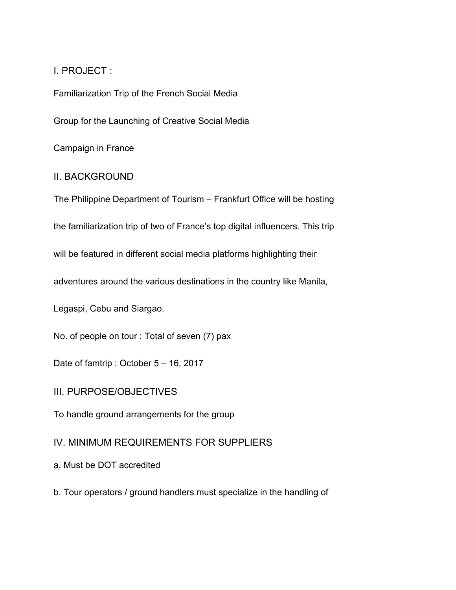# I. PROJECT :

Familiarization Trip of the French Social Media

Group for the Launching of Creative Social Media

Campaign in France

### II. BACKGROUND

The Philippine Department of Tourism – Frankfurt Office will be hosting

the familiarization trip of two of France's top digital influencers. This trip

will be featured in different social media platforms highlighting their

adventures around the various destinations in the country like Manila,

Legaspi, Cebu and Siargao.

No. of people on tour : Total of seven (7) pax

Date of famtrip : October 5 – 16, 2017

#### III. PURPOSE/OBJECTIVES

To handle ground arrangements for the group

### IV. MINIMUM REQUIREMENTS FOR SUPPLIERS

a. Must be DOT accredited

b. Tour operators / ground handlers must specialize in the handling of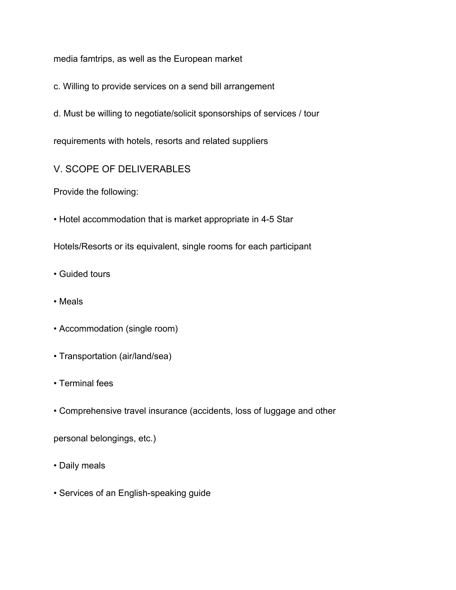media famtrips, as well as the European market

- c. Willing to provide services on a send bill arrangement
- d. Must be willing to negotiate/solicit sponsorships of services / tour

requirements with hotels, resorts and related suppliers

# V. SCOPE OF DELIVERABLES

Provide the following:

• Hotel accommodation that is market appropriate in 4-5 Star

Hotels/Resorts or its equivalent, single rooms for each participant

- Guided tours
- Meals
- Accommodation (single room)
- Transportation (air/land/sea)
- Terminal fees
- Comprehensive travel insurance (accidents, loss of luggage and other

personal belongings, etc.)

- Daily meals
- Services of an English-speaking guide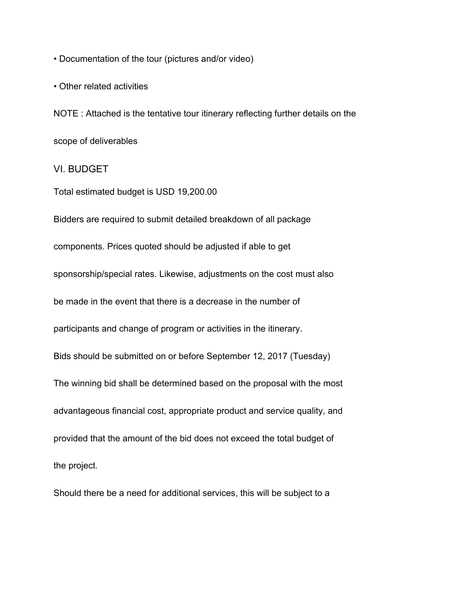• Documentation of the tour (pictures and/or video)

• Other related activities

NOTE : Attached is the tentative tour itinerary reflecting further details on the scope of deliverables

VI. BUDGET

Total estimated budget is USD 19,200.00

Bidders are required to submit detailed breakdown of all package components. Prices quoted should be adjusted if able to get sponsorship/special rates. Likewise, adjustments on the cost must also be made in the event that there is a decrease in the number of participants and change of program or activities in the itinerary. Bids should be submitted on or before September 12, 2017 (Tuesday) The winning bid shall be determined based on the proposal with the most advantageous financial cost, appropriate product and service quality, and provided that the amount of the bid does not exceed the total budget of the project.

Should there be a need for additional services, this will be subject to a